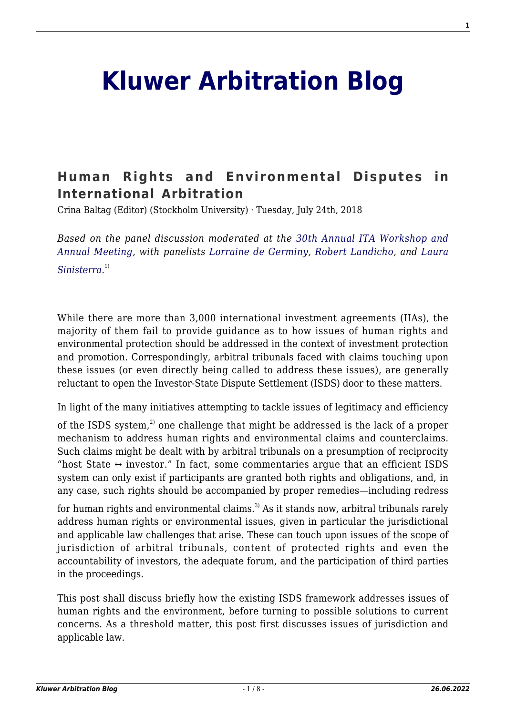# **[Kluwer Arbitration Blog](http://arbitrationblog.kluwerarbitration.com/)**

## **[Human Rights and Environmental Disputes in](http://arbitrationblog.kluwerarbitration.com/2018/07/24/human-rights-and-environmental-disputes-in-international-arbitration/) [International Arbitration](http://arbitrationblog.kluwerarbitration.com/2018/07/24/human-rights-and-environmental-disputes-in-international-arbitration/)**

Crina Baltag (Editor) (Stockholm University) · Tuesday, July 24th, 2018

*Based on the panel discussion moderated at the [30th Annual ITA Workshop and](http://www.cailaw.org/Institute-for-Transnational-Arbitration/Events/2018/ita-workshop.html) [Annual Meeting](http://www.cailaw.org/Institute-for-Transnational-Arbitration/Events/2018/ita-workshop.html), with panelists [Lorraine de Germiny,](http://www.lalive.ch/en/people/index.php?lawyer=865) [Robert Landicho](https://www.velaw.com/Who-We-Are/Find-a-Lawyer/Landicho--Robert/), and [Laura](https://www.debevoise.com/laurasinisterra) [Sinisterra.](https://www.debevoise.com/laurasinisterra)* 1)

While there are more than 3,000 international investment agreements (IIAs), the majority of them fail to provide guidance as to how issues of human rights and environmental protection should be addressed in the context of investment protection and promotion. Correspondingly, arbitral tribunals faced with claims touching upon these issues (or even directly being called to address these issues), are generally reluctant to open the Investor-State Dispute Settlement (ISDS) door to these matters.

In light of the many initiatives attempting to tackle issues of legitimacy and efficiency

of the ISDS system,<sup>2)</sup> one challenge that might be addressed is the lack of a proper mechanism to address human rights and environmental claims and counterclaims. Such claims might be dealt with by arbitral tribunals on a presumption of reciprocity "host State  $\leftrightarrow$  investor." In fact, some commentaries argue that an efficient ISDS system can only exist if participants are granted both rights and obligations, and, in any case, such rights should be accompanied by proper remedies—including redress

for human rights and environmental claims.<sup>3)</sup> As it stands now, arbitral tribunals rarely address human rights or environmental issues, given in particular the jurisdictional and applicable law challenges that arise. These can touch upon issues of the scope of jurisdiction of arbitral tribunals, content of protected rights and even the accountability of investors, the adequate forum, and the participation of third parties in the proceedings.

This post shall discuss briefly how the existing ISDS framework addresses issues of human rights and the environment, before turning to possible solutions to current concerns. As a threshold matter, this post first discusses issues of jurisdiction and applicable law.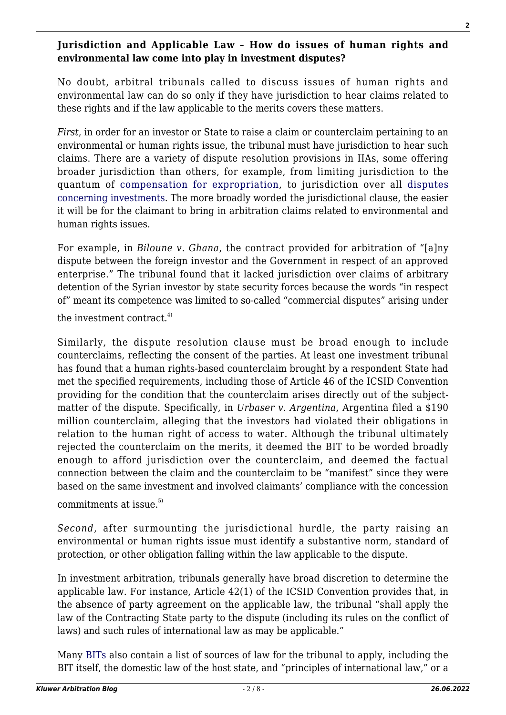## **Jurisdiction and Applicable Law – How do issues of human rights and environmental law come into play in investment disputes?**

No doubt, arbitral tribunals called to discuss issues of human rights and environmental law can do so only if they have jurisdiction to hear claims related to these rights and if the law applicable to the merits covers these matters.

*First*, in order for an investor or State to raise a claim or counterclaim pertaining to an environmental or human rights issue, the tribunal must have jurisdiction to hear such claims. There are a variety of dispute resolution provisions in IIAs, some offering broader jurisdiction than others, for example, from limiting jurisdiction to the quantum of [compensation for expropriation](http://investmentpolicyhub.unctad.org/Download/TreatyFile/1921), to jurisdiction over all [disputes](http://investmentpolicyhub.unctad.org/Download/TreatyFile/4796) [concerning investments](http://investmentpolicyhub.unctad.org/Download/TreatyFile/4796). The more broadly worded the jurisdictional clause, the easier it will be for the claimant to bring in arbitration claims related to environmental and human rights issues.

For example, in *Biloune v. Ghana*, the contract provided for arbitration of "[a]ny dispute between the foreign investor and the Government in respect of an approved enterprise." The tribunal found that it lacked jurisdiction over claims of arbitrary detention of the Syrian investor by state security forces because the words "in respect of" meant its competence was limited to so-called "commercial disputes" arising under

the investment contract. $4$ )

Similarly, the dispute resolution clause must be broad enough to include counterclaims, reflecting the consent of the parties. At least one investment tribunal has found that a human rights-based counterclaim brought by a respondent State had met the specified requirements, including those of Article 46 of the ICSID Convention providing for the condition that the counterclaim arises directly out of the subjectmatter of the dispute. Specifically, in *Urbaser v. Argentina*, Argentina filed a \$190 million counterclaim, alleging that the investors had violated their obligations in relation to the human right of access to water. Although the tribunal ultimately rejected the counterclaim on the merits, it deemed the BIT to be worded broadly enough to afford jurisdiction over the counterclaim, and deemed the factual connection between the claim and the counterclaim to be "manifest" since they were based on the same investment and involved claimants' compliance with the concession

commitments at issue  $5$ 

*Second*, after surmounting the jurisdictional hurdle, the party raising an environmental or human rights issue must identify a substantive norm, standard of protection, or other obligation falling within the law applicable to the dispute.

In investment arbitration, tribunals generally have broad discretion to determine the applicable law. For instance, Article 42(1) of the ICSID Convention provides that, in the absence of party agreement on the applicable law, the tribunal "shall apply the law of the Contracting State party to the dispute (including its rules on the conflict of laws) and such rules of international law as may be applicable."

Many [BITs](http://investmentpolicyhub.unctad.org/Download/TreatyFile/77) also contain a list of sources of law for the tribunal to apply, including the BIT itself, the domestic law of the host state, and "principles of international law," or a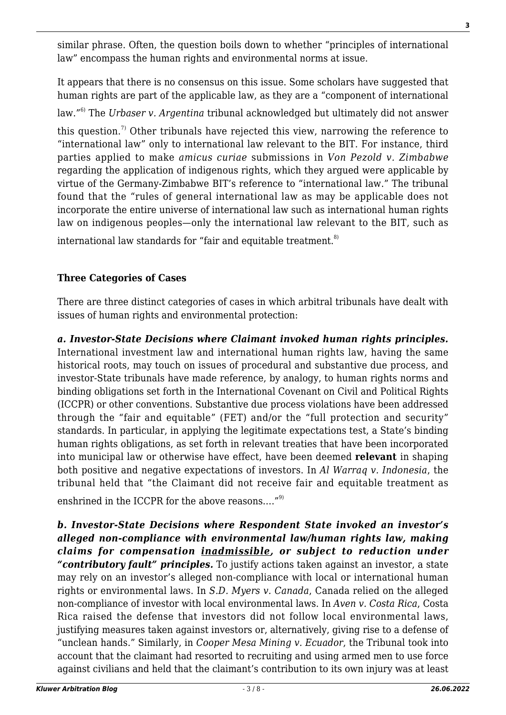similar phrase. Often, the question boils down to whether "principles of international law" encompass the human rights and environmental norms at issue.

It appears that there is no consensus on this issue. Some scholars have suggested that human rights are part of the applicable law, as they are a "component of international

law."6) The *Urbaser v. Argentina* tribunal acknowledged but ultimately did not answer

this question.<sup>7)</sup> Other tribunals have rejected this view, narrowing the reference to "international law" only to international law relevant to the BIT. For instance, third parties applied to make *amicus curiae* submissions in *Von Pezold v. Zimbabwe* regarding the application of indigenous rights, which they argued were applicable by virtue of the Germany-Zimbabwe BIT's reference to "international law." The tribunal found that the "rules of general international law as may be applicable does not incorporate the entire universe of international law such as international human rights law on indigenous peoples—only the international law relevant to the BIT, such as

international law standards for "fair and equitable treatment.<sup>8)</sup>

## **Three Categories of Cases**

There are three distinct categories of cases in which arbitral tribunals have dealt with issues of human rights and environmental protection:

*a. Investor-State Decisions where Claimant invoked human rights principles.* International investment law and international human rights law, having the same historical roots, may touch on issues of procedural and substantive due process, and investor-State tribunals have made reference, by analogy, to human rights norms and binding obligations set forth in the International Covenant on Civil and Political Rights (ICCPR) or other conventions. Substantive due process violations have been addressed through the "fair and equitable" (FET) and/or the "full protection and security" standards. In particular, in applying the legitimate expectations test, a State's binding human rights obligations, as set forth in relevant treaties that have been incorporated into municipal law or otherwise have effect, have been deemed **relevant** in shaping both positive and negative expectations of investors. In *Al Warraq v. Indonesia*, the tribunal held that "the Claimant did not receive fair and equitable treatment as

enshrined in the ICCPR for the above reasons...."<sup>9)</sup>

*b. Investor-State Decisions where Respondent State invoked an investor's alleged non-compliance with environmental law/human rights law, making claims for compensation inadmissible, or subject to reduction under "contributory fault" principles.* To justify actions taken against an investor, a state may rely on an investor's alleged non-compliance with local or international human rights or environmental laws. In *S.D. Myers v. Canada*, Canada relied on the alleged non-compliance of investor with local environmental laws. In *Aven v. Costa Rica*, Costa Rica raised the defense that investors did not follow local environmental laws, justifying measures taken against investors or, alternatively, giving rise to a defense of "unclean hands." Similarly, in *Cooper Mesa Mining v. Ecuador*, the Tribunal took into account that the claimant had resorted to recruiting and using armed men to use force against civilians and held that the claimant's contribution to its own injury was at least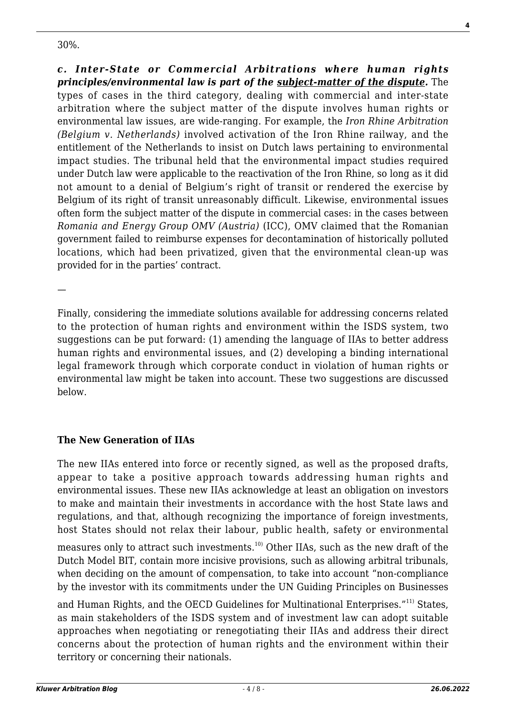30%.

*c. Inter-State or Commercial Arbitrations where human rights principles/environmental law is part of the subject-matter of the dispute.* The types of cases in the third category, dealing with commercial and inter-state arbitration where the subject matter of the dispute involves human rights or environmental law issues, are wide-ranging. For example, the *Iron Rhine Arbitration (Belgium v. Netherlands)* involved activation of the Iron Rhine railway, and the entitlement of the Netherlands to insist on Dutch laws pertaining to environmental impact studies. The tribunal held that the environmental impact studies required under Dutch law were applicable to the reactivation of the Iron Rhine, so long as it did not amount to a denial of Belgium's right of transit or rendered the exercise by Belgium of its right of transit unreasonably difficult. Likewise, environmental issues often form the subject matter of the dispute in commercial cases: in the cases between *Romania and Energy Group OMV (Austria)* (ICC), OMV claimed that the Romanian government failed to reimburse expenses for decontamination of historically polluted locations, which had been privatized, given that the environmental clean-up was provided for in the parties' contract.

—

Finally, considering the immediate solutions available for addressing concerns related to the protection of human rights and environment within the ISDS system, two suggestions can be put forward: (1) amending the language of IIAs to better address human rights and environmental issues, and (2) developing a binding international legal framework through which corporate conduct in violation of human rights or environmental law might be taken into account. These two suggestions are discussed below.

## **The New Generation of IIAs**

The new IIAs entered into force or recently signed, as well as the proposed drafts, appear to take a positive approach towards addressing human rights and environmental issues. These new IIAs acknowledge at least an obligation on investors to make and maintain their investments in accordance with the host State laws and regulations, and that, although recognizing the importance of foreign investments, host States should not relax their labour, public health, safety or environmental

measures only to attract such investments.<sup>10)</sup> Other IIAs, such as the new draft of the Dutch Model BIT, contain more incisive provisions, such as allowing arbitral tribunals, when deciding on the amount of compensation, to take into account "non-compliance by the investor with its commitments under the UN Guiding Principles on Businesses

and Human Rights, and the OECD Guidelines for Multinational Enterprises."<sup>11)</sup> States, as main stakeholders of the ISDS system and of investment law can adopt suitable approaches when negotiating or renegotiating their IIAs and address their direct concerns about the protection of human rights and the environment within their territory or concerning their nationals.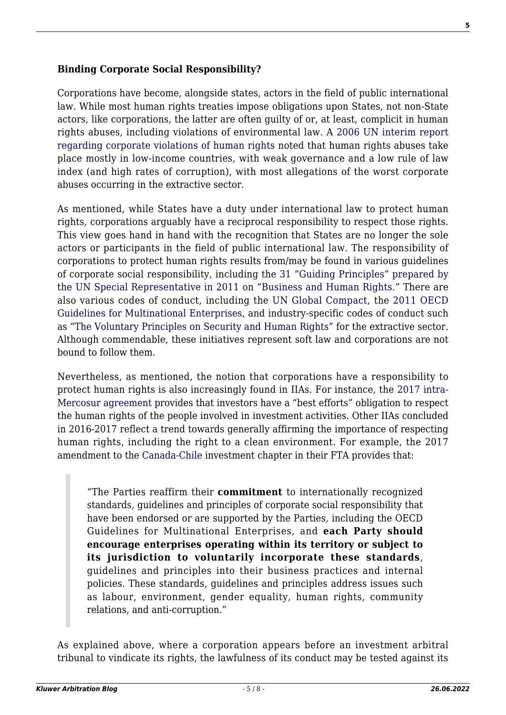#### **Binding Corporate Social Responsibility?**

Corporations have become, alongside states, actors in the field of public international law. While most human rights treaties impose obligations upon States, not non-State actors, like corporations, the latter are often guilty of or, at least, complicit in human rights abuses, including violations of environmental law. A [2006 UN interim report](https://www.google.com/url?sa=t&rct=j&q=&esrc=s&source=web&cd=1&ved=0ahUKEwjIkJTVnJHcAhVLL8AKHUtyCxIQFggqMAA&url=https%3A%2F%2Fwww.business-humanrights.org%2Fsites%2Fdefault%2Ffiles%2Fmedia%2Fbhr%2Ffiles%2FSRSG-report-Human-Rights-Council-19-Feb-2007.pdf&usg=AOvVaw3j00mNOYlgPUj_PQDwLTni) [regarding corporate violations of human rights](https://www.google.com/url?sa=t&rct=j&q=&esrc=s&source=web&cd=1&ved=0ahUKEwjIkJTVnJHcAhVLL8AKHUtyCxIQFggqMAA&url=https%3A%2F%2Fwww.business-humanrights.org%2Fsites%2Fdefault%2Ffiles%2Fmedia%2Fbhr%2Ffiles%2FSRSG-report-Human-Rights-Council-19-Feb-2007.pdf&usg=AOvVaw3j00mNOYlgPUj_PQDwLTni) noted that human rights abuses take place mostly in low-income countries, with weak governance and a low rule of law index (and high rates of corruption), with most allegations of the worst corporate abuses occurring in the extractive sector.

As mentioned, while States have a duty under international law to protect human rights, corporations arguably have a reciprocal responsibility to respect those rights. This view goes hand in hand with the recognition that States are no longer the sole actors or participants in the field of public international law. The responsibility of corporations to protect human rights results from/may be found in various guidelines of corporate social responsibility, including the [31 "Guiding Principles" prepared by](https://www.google.com/url?sa=t&rct=j&q=&esrc=s&source=web&cd=4&cad=rja&uact=8&ved=0ahUKEwi2tNSe2JTcAhUKO8AKHey1BkkQFgg6MAM&url=https%3A%2F%2Fwww.ohchr.org%2FDocuments%2FPublications%2FGuidingPrinciplesBusinessHR_EN.pdf&usg=AOvVaw27jCMnaUNLs9Z4u0wvWwdi) [the UN Special Representative in 2011 on "Business and Human Rights."](https://www.google.com/url?sa=t&rct=j&q=&esrc=s&source=web&cd=4&cad=rja&uact=8&ved=0ahUKEwi2tNSe2JTcAhUKO8AKHey1BkkQFgg6MAM&url=https%3A%2F%2Fwww.ohchr.org%2FDocuments%2FPublications%2FGuidingPrinciplesBusinessHR_EN.pdf&usg=AOvVaw27jCMnaUNLs9Z4u0wvWwdi) There are also various codes of conduct, including the [UN Global Compact](https://www.unglobalcompact.org/), the [2011 OECD](https://www.google.com/url?sa=t&rct=j&q=&esrc=s&source=web&cd=2&cad=rja&uact=8&ved=0ahUKEwj54uu-2JTcAhVIK8AKHTKiBJUQFgg3MAE&url=https%3A%2F%2Fwww.oecd.org%2Fcorporate%2Fmne%2F48004323.pdf&usg=AOvVaw3TLzyTJAUN9uX4QV0CGsLl) [Guidelines for Multinational Enterprises](https://www.google.com/url?sa=t&rct=j&q=&esrc=s&source=web&cd=2&cad=rja&uact=8&ved=0ahUKEwj54uu-2JTcAhVIK8AKHTKiBJUQFgg3MAE&url=https%3A%2F%2Fwww.oecd.org%2Fcorporate%2Fmne%2F48004323.pdf&usg=AOvVaw3TLzyTJAUN9uX4QV0CGsLl), and industry-specific codes of conduct such as ["The Voluntary Principles on Security and Human Rights"](http://www.voluntaryprinciples.org/) for the extractive sector. Although commendable, these initiatives represent soft law and corporations are not bound to follow them.

Nevertheless, as mentioned, the notion that corporations have a responsibility to protect human rights is also increasingly found in IIAs. For instance, the [2017 intra-](http://investmentpolicyhub.unctad.org/IIA/treaty/3772)[Mercosur agreement](http://investmentpolicyhub.unctad.org/IIA/treaty/3772) provides that investors have a "best efforts" obligation to respect the human rights of the people involved in investment activities. Other IIAs concluded in 2016-2017 reflect a trend towards generally affirming the importance of respecting human rights, including the right to a clean environment. For example, the 2017 amendment to the [Canada-Chile](http://investmentpolicyhub.unctad.org/IIA/treaty/3146) investment chapter in their FTA provides that:

"The Parties reaffirm their **commitment** to internationally recognized standards, guidelines and principles of corporate social responsibility that have been endorsed or are supported by the Parties, including the OECD Guidelines for Multinational Enterprises, and **each Party should encourage enterprises operating within its territory or subject to its jurisdiction to voluntarily incorporate these standards**, guidelines and principles into their business practices and internal policies. These standards, guidelines and principles address issues such as labour, environment, gender equality, human rights, community relations, and anti-corruption."

As explained above, where a corporation appears before an investment arbitral tribunal to vindicate its rights, the lawfulness of its conduct may be tested against its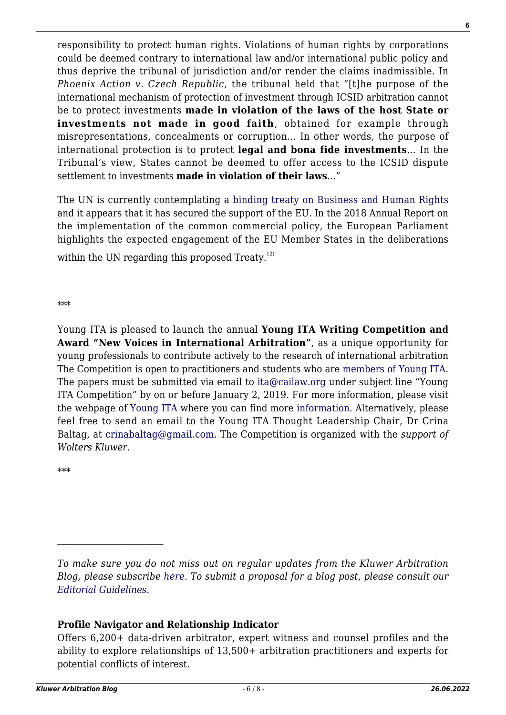responsibility to protect human rights. Violations of human rights by corporations could be deemed contrary to international law and/or international public policy and thus deprive the tribunal of jurisdiction and/or render the claims inadmissible. In *Phoenix Action v. Czech Republic*, the tribunal held that "[t]he purpose of the international mechanism of protection of investment through ICSID arbitration cannot be to protect investments **made in violation of the laws of the host State or investments not made in good faith**, obtained for example through misrepresentations, concealments or corruption… In other words, the purpose of international protection is to protect **legal and bona fide investments**… In the Tribunal's view, States cannot be deemed to offer access to the ICSID dispute settlement to investments **made in violation of their laws**…"

The UN is currently contemplating a [binding treaty on Business and Human Rights](https://www.google.com/url?sa=t&rct=j&q=&esrc=s&source=web&cd=1&cad=rja&uact=8&ved=0ahUKEwjzwrHO_pTcAhXF1ywKHcO5CFkQFggqMAA&url=https%3A%2F%2Fwww.ihrb.org%2Fpdf%2FG1408252.pdf&usg=AOvVaw2yd9EUpZErAKvO4bMP1RXk) and it appears that it has secured the support of the EU. In the 2018 Annual Report on the implementation of the common commercial policy, the European Parliament highlights the expected engagement of the EU Member States in the deliberations

within the UN regarding this proposed Treaty. $^{12)}$ 

\*\*\*

Young ITA is pleased to launch the annual **Young ITA Writing Competition and Award "New Voices in International Arbitration"**, as a unique opportunity for young professionals to contribute actively to the research of international arbitration The Competition is open to practitioners and students who are [members of Young ITA](http://www.cailaw.org/memberRegistration.html?t=ita). The papers must be submitted via email to [ita@cailaw.org](mailto:ita@cailaw.org) under subject line "Young ITA Competition" by on or before January 2, 2019. For more information, please visit the webpage of [Young ITA](http://www.cailaw.org/Institute-for-Transnational-Arbitration/Young-ITA/index.html) where you can find more [information](http://www.cailaw.org/media/files/ITA/young-ita-award.pdf). Alternatively, please feel free to send an email to the Young ITA Thought Leadership Chair, Dr Crina Baltag, at [crinabaltag@gmail.com.](mailto:crinabaltag@gmail.com) The Competition is organized with the *support of Wolters Kluwer*.

\*\*\*

## **Profile Navigator and Relationship Indicator**

*To make sure you do not miss out on regular updates from the Kluwer Arbitration Blog, please subscribe [here](http://arbitrationblog.kluwerarbitration.com/newsletter/). To submit a proposal for a blog post, please consult our [Editorial Guidelines.](http://arbitrationblog.kluwerarbitration.com/editorial-guidelines/)*

Offers 6,200+ data-driven arbitrator, expert witness and counsel profiles and the ability to explore relationships of 13,500+ arbitration practitioners and experts for potential conflicts of interest.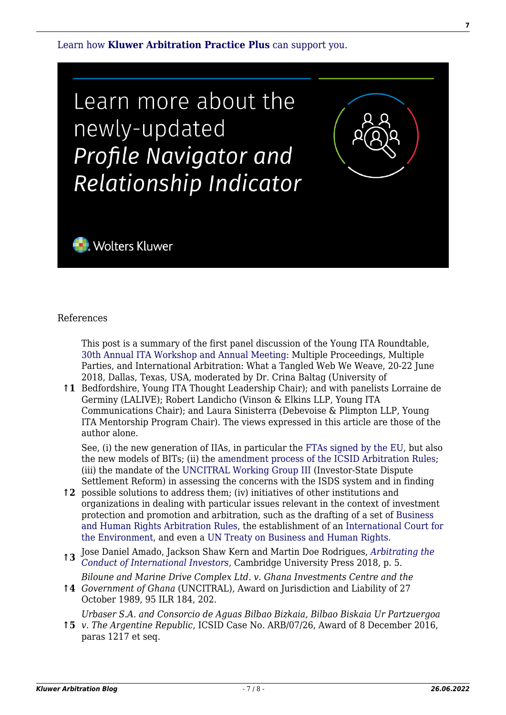[Learn how](https://www.wolterskluwer.com/en/solutions/kluwerarbitration/practiceplus?utm_source=arbitrationblog&utm_medium=articleCTA&utm_campaign=article-banner) **[Kluwer Arbitration Practice Plus](https://www.wolterskluwer.com/en/solutions/kluwerarbitration/practiceplus?utm_source=arbitrationblog&utm_medium=articleCTA&utm_campaign=article-banner)** [can support you.](https://www.wolterskluwer.com/en/solutions/kluwerarbitration/practiceplus?utm_source=arbitrationblog&utm_medium=articleCTA&utm_campaign=article-banner)

Learn more about the newly-updated Profile Navigator and Relationship Indicator



#### References

This post is a summary of the first panel discussion of the Young ITA Roundtable, [30th Annual ITA Workshop and Annual Meeting:](http://www.cailaw.org/Institute-for-Transnational-Arbitration/Events/2018/ita-workshop.html) Multiple Proceedings, Multiple Parties, and International Arbitration: What a Tangled Web We Weave, 20-22 June 2018, Dallas, Texas, USA, moderated by Dr. Crina Baltag (University of

**↑1** Bedfordshire, Young ITA Thought Leadership Chair); and with panelists Lorraine de Germiny (LALIVE); Robert Landicho (Vinson & Elkins LLP, Young ITA Communications Chair); and Laura Sinisterra (Debevoise & Plimpton LLP, Young ITA Mentorship Program Chair). The views expressed in this article are those of the author alone.

See, (i) the new generation of IIAs, in particular the [FTAs signed by the EU,](http://ec.europa.eu/trade/policy/countries-and-regions/negotiations-and-agreements/) but also the new models of BITs; (ii) the [amendment process of the ICSID Arbitration Rules;](https://icsid.worldbank.org/en/Pages/about/Amendment-of-ICSID-Rules-and-Regulations.aspx) (iii) the mandate of the [UNCITRAL Working Group III](http://www.uncitral.org/uncitral/en/commission/working_groups/3Investor_State.html) (Investor-State Dispute Settlement Reform) in assessing the concerns with the ISDS system and in finding

- **↑2** possible solutions to address them; (iv) initiatives of other institutions and organizations in dealing with particular issues relevant in the context of investment protection and promotion and arbitration, such as the drafting of a set of [Business](http://arbitrationblog.kluwerarbitration.com/2017/11/16/international-arbitration-business-human-rights-step-forward/) [and Human Rights Arbitration Rules,](http://arbitrationblog.kluwerarbitration.com/2017/11/16/international-arbitration-business-human-rights-step-forward/) the establishment of an [International Court for](http://www.icecoalition.org/) [the Environment](http://www.icecoalition.org/), and even a [UN Treaty on Business and Human Rights.](http://www.europarl.europa.eu/sides/getDoc.do?pubRef=-//EP//TEXT+TA+P8-TA-2018-0230+0+DOC+XML+V0//EN&language=EN)
- **↑3** Jose Daniel Amado, Jackson Shaw Kern and Martin Doe Rodrigues, *[Arbitrating the](https://www.cambridge.org/core/books/arbitrating-the-conduct-of-international-investors/0AB1E6AC56DAA0BFE61EF1709A7C6CC9) [Conduct of International Investors](https://www.cambridge.org/core/books/arbitrating-the-conduct-of-international-investors/0AB1E6AC56DAA0BFE61EF1709A7C6CC9)*, Cambridge University Press 2018, p. 5.

*Biloune and Marine Drive Complex Ltd. v. Ghana Investments Centre and the*

**↑4** *Government of Ghana* (UNCITRAL), Award on Jurisdiction and Liability of 27 October 1989, 95 ILR 184, 202.

*Urbaser S.A. and Consorcio de Aguas Bilbao Bizkaia, Bilbao Biskaia Ur Partzuergoa*

**↑5** *v. The Argentine Republic*, ICSID Case No. ARB/07/26, Award of 8 December 2016, paras 1217 et seq.